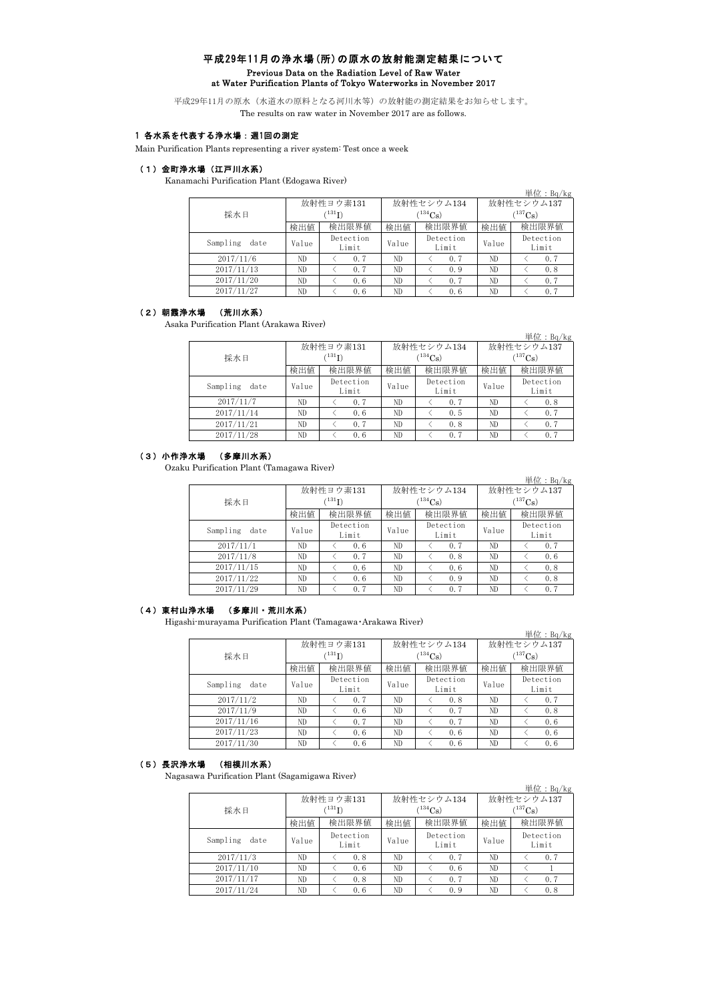## 平成29年11月の浄水場(所)の原水の放射能測定結果について Previous Data on the Radiation Level of Raw Water at Water Purification Plants of Tokyo Waterworks in November 2017

平成29年11月の原水(水道水の原料となる河川水等)の放射能の測定結果をお知らせします。 The results on raw water in November 2017 are as follows.

# 1 各水系を代表する浄水場:週1回の測定

Main Purification Plants representing a river system: Test once a week

#### (1)金町浄水場(江戸川水系)

Kanamachi Purification Plant (Edogawa River)

|                  |       |                    |       |                    |              | 単位: <u>Bq/kg</u>   |  |  |
|------------------|-------|--------------------|-------|--------------------|--------------|--------------------|--|--|
|                  |       | 放射性ヨウ素131          |       | 放射性セシウム134         | 放射性セシウム137   |                    |  |  |
| 採水日              |       | $^{131}$ I)        |       | $^{(134}Cs)$       | $(^{137}Cs)$ |                    |  |  |
|                  | 検出値   | 検出限界値              | 検出値   | 検出限界値              | 検出値          | 検出限界値              |  |  |
| Sampling<br>date | Value | Detection<br>Limit | Value | Detection<br>Limit | Value        | Detection<br>Limit |  |  |
| 2017/11/6        | ND.   | 0.7                | ND    | 0.7                | ND           | 0.7                |  |  |
| 2017/11/13       | ND    | 0.7                | ND    | 0.9                | ND.          | 0.8                |  |  |
| 2017/11/20       | ND    | 0.6                | ND    | 0.7                | ND.          | 0.7                |  |  |
| 2017/11/27       | ND    | 0.6                | ND    | 0.6                | ND           | 0.7                |  |  |

#### (2)朝霞浄水場 (荒川水系)

Asaka Purification Plant (Arakawa River)

|                  |             |                    |       |                    |              | $\vert \mathcal{H} \mathcal{L}$ : Bq/kg |  |  |
|------------------|-------------|--------------------|-------|--------------------|--------------|-----------------------------------------|--|--|
|                  |             | 放射性ヨウ素131          |       | 放射性セシウム134         | 放射性セシウム137   |                                         |  |  |
| 採水日              | $(^{131}I)$ |                    |       | $(^{134}Cs)$       | $(^{137}Cs)$ |                                         |  |  |
|                  | 検出値         | 検出限界値              | 検出値   | 検出限界値              | 検出値          | 検出限界値                                   |  |  |
| Sampling<br>date | Value       | Detection<br>Limit | Value | Detection<br>Limit | Value        | Detection<br>Limit                      |  |  |
| 2017/11/7        | ND.         | 0.7                | ND    | 0.7                | ND.          | 0.8                                     |  |  |
| 2017/11/14       | ND          | 0.6                | ND    | 0.5                | ND.          | 0.7                                     |  |  |
| 2017/11/21       | ND          | 0.7                | ND    | 0, 8               | ND.          | 0.7                                     |  |  |
| 2017/11/28       | ND          | 0.6                | ND    | 0.7                | ND           | 0.7                                     |  |  |

#### (3)小作浄水場 (多摩川水系)

Ozaku Purification Plant (Tamagawa River)

|                  |       |                            |       |                    |                        | 単位: $Bq/kg$        |  |  |
|------------------|-------|----------------------------|-------|--------------------|------------------------|--------------------|--|--|
|                  |       | 放射性ヨウ素131                  |       | 放射性セシウム134         | 放射性セシウム137             |                    |  |  |
| 採水日              |       | $^{\prime131} \mathrm{I})$ |       | $(^{134}Cs)$       | $\rm _{137}C_{\rm S})$ |                    |  |  |
|                  | 検出値   | 検出限界値                      | 検出値   | 検出限界値              | 検出値                    | 検出限界値              |  |  |
| Sampling<br>date | Value | Detection<br>Limit         | Value | Detection<br>Limit | Value                  | Detection<br>Limit |  |  |
| 2017/11/1        | ND.   | 0.6                        | ND    | 0.7                | ND                     | 0.7                |  |  |
| 2017/11/8        | ND    | 0.7                        | ND    | 0.8                | ND                     | 0.6                |  |  |
| 2017/11/15       | ND.   | 0.6                        | ND    | 0.6                | ND                     | 0.8                |  |  |
| 2017/11/22       | ND    | 0.6                        | ND    | 0.9                | ND                     | 0.8                |  |  |
| 2017/11/29       | ND    | 0.7                        | ND    | 0.7                | ND                     | 0.7                |  |  |

#### (4)東村山浄水場 (多摩川・荒川水系)

Higashi-murayama Purification Plant (Tamagawa・Arakawa River)

|                  |       |                          |              |                       |              | 単位: $Bq/kg$        |  |  |
|------------------|-------|--------------------------|--------------|-----------------------|--------------|--------------------|--|--|
|                  |       | 放射性ヨウ素131                |              | 放射性セシウム134            | 放射性セシウム137   |                    |  |  |
| 採水日              |       | $^{\prime\,131}{\rm I)}$ |              | $(^{134}\mathrm{Cs})$ | $(^{137}Cs)$ |                    |  |  |
|                  | 検出値   | 検出限界値                    | 検出値<br>検出限界値 |                       |              | 検出限界値              |  |  |
| Sampling<br>date | Value | Detection<br>Limit       | Value        | Detection<br>Limit    | Value        | Detection<br>Limit |  |  |
| 2017/11/2        | ND    | 0.7                      | ND           | 0, 8                  | ND           | 0.7                |  |  |
| 2017/11/9        | ND    | 0.6                      | ND           | 0.7                   | ND           | 0.8                |  |  |
| 2017/11/16       | ND    | 0.7                      | ND           | 0.7                   | ND           | 0.6                |  |  |
| 2017/11/23       | ND    | 0.6                      | ND           | 0.6                   | ND           | 0.6                |  |  |
| 2017/11/30       | ND    | 0.6                      | ND.          | 0.6                   | ND           | 0.6                |  |  |

#### (5)長沢浄水場 (相模川水系)

Nagasawa Purification Plant (Sagamigawa River)

|                  |       |                    |       |                    |              | 単位: $Bq/kg$        |  |  |
|------------------|-------|--------------------|-------|--------------------|--------------|--------------------|--|--|
|                  |       | 放射性ヨウ素131          |       | 放射性セシウム134         | 放射性セシウム137   |                    |  |  |
| 採水日              |       | $(^{131}I)$        |       | $(^{134}Cs)$       | $(^{137}Cs)$ |                    |  |  |
|                  | 検出値   | 検出限界値              | 検出値   | 検出限界値              | 検出値          | 検出限界値              |  |  |
| Sampling<br>date | Value | Detection<br>Limit | Value | Detection<br>Limit | Value        | Detection<br>Limit |  |  |
| 2017/11/3        | ND    | 0.8                | ND    | 0.7                | ND.          | 0.7                |  |  |
| 2017/11/10       | ND    | 0.6                | ND    | 0.6                | ND           |                    |  |  |
| 2017/11/17       | ND    | 0.8                | ND    | 0.7                | ND.          | 0.7                |  |  |
| 2017/11/24       | ND    | 0.6                | ND    | 0.9                | ND.          | 0.8                |  |  |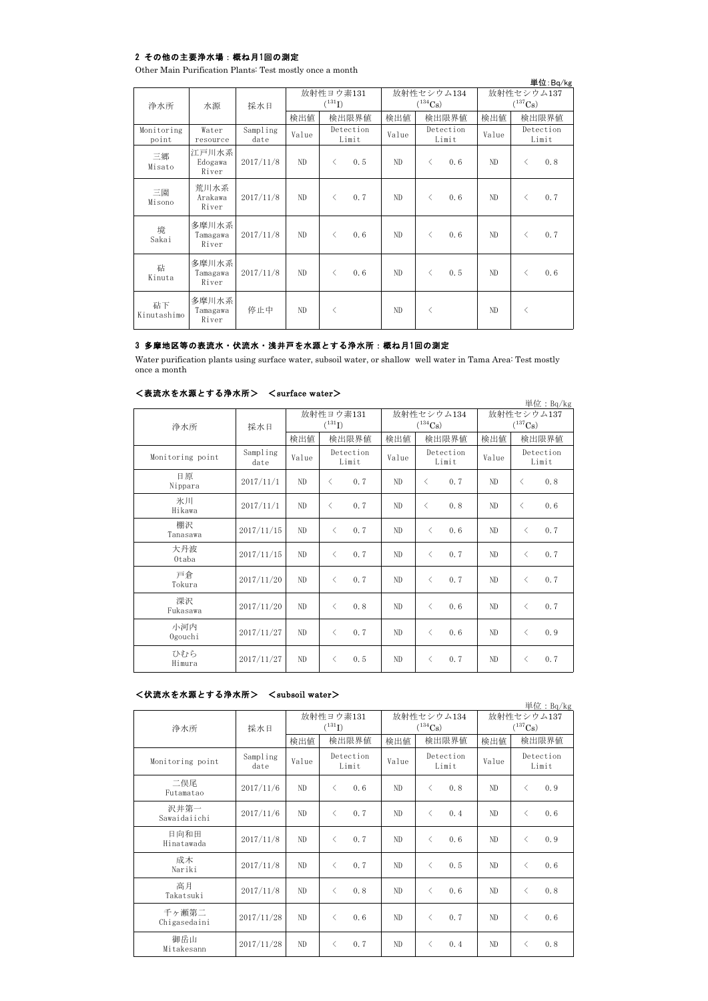## 2 その他の主要浄水場:概ね月1回の測定

Other Main Purification Plants: Test mostly once a month

|                     |                            |                  |       |             |                    |     |                             |            |            |                       | 単位:Bq/kg           |
|---------------------|----------------------------|------------------|-------|-------------|--------------------|-----|-----------------------------|------------|------------|-----------------------|--------------------|
|                     |                            |                  |       | 放射性ヨウ素131   |                    |     |                             | 放射性セシウム134 | 放射性セシウム137 |                       |                    |
| 浄水所                 | 水源                         | 採水日              |       | $(^{131}I)$ |                    |     | $(^{134}\mathrm{Cs})$       |            |            | $(^{137}\mathrm{Cs})$ |                    |
|                     |                            |                  | 検出値   |             | 検出限界値              | 検出値 | 検出限界値                       |            | 検出値        |                       | 検出限界値              |
| Monitoring<br>point | Water<br>resource          | Sampling<br>date | Value |             | Detection<br>Limit |     | Detection<br>Value<br>Limit |            | Value      |                       | Detection<br>Limit |
| 三郷<br>Misato        | 江戸川水系<br>Edogawa<br>River  | 2017/11/8        | ND    | $\langle$   | 0, 5               | ND  | $\lt$                       | 0.6        | ND         | $\lt$                 | 0.8                |
| 三園<br>Misono        | 荒川水系<br>Arakawa<br>River   | 2017/11/8        | ND    | $\langle$   | 0.7                | ND  | $\langle$                   | 0.6        | ND         | $\langle$             | 0.7                |
| 境<br>Sakai          | 多摩川水系<br>Tamagawa<br>River | 2017/11/8        | ND    | $\langle$   | 0.6                | ND  | $\langle$                   | 0.6        | ND         | $\langle$             | 0, 7               |
| 砧<br>Kinuta         | 多摩川水系<br>Tamagawa<br>River | 2017/11/8        | ND    | $\langle$   | 0.6                | ND  | $\lt$                       | 0.5        | ND         | $\langle$             | 0.6                |
| 砧下<br>Kinutashimo   | 多摩川水系<br>Tamagawa<br>River | 停止中              | ND    | $\langle$   |                    | ND  | $\langle$                   |            | ND         | $\langle$             |                    |

# 3 多摩地区等の表流水・伏流水・浅井戸を水源とする浄水所:概ね月1回の測定

Water purification plants using surface water, subsoil water, or shallow well water in Tama Area: Test mostly once a month

## <表流水を水源とする浄水所> <surface water>

| <b>ヽ蚊処小でいぬこ?も</b> /ナークトメリブ/ |                  | NOULLAUG WAUGLZ                           |                    |  |       |                                          |                    |                                     |           | 単位: $Bq/kg$        |
|-----------------------------|------------------|-------------------------------------------|--------------------|--|-------|------------------------------------------|--------------------|-------------------------------------|-----------|--------------------|
| 浄水所                         | 採水日              | 放射性ヨウ素131<br>$\mathcal{C}^{131}\text{I)}$ |                    |  |       | $(^{134}Cs)$                             | 放射性セシウム134         | 放射性セシウム137<br>$(^{137}\mathrm{Cs})$ |           |                    |
|                             |                  | 検出値                                       | 検出限界値              |  | 検出値   |                                          | 検出限界値              | 検出値                                 |           | 検出限界値              |
| Monitoring point            | Sampling<br>date | Value                                     | Detection<br>Limit |  | Value |                                          | Detection<br>Limit | Value                               |           | Detection<br>Limit |
| 日原<br>Nippara               | 2017/11/1        | ND                                        | 0.7<br>$\langle$   |  | ND.   | $\lt$                                    | 0.7                | ND.                                 | $\langle$ | 0.8                |
| 氷川<br>Hikawa                | 2017/11/1        | ND                                        | 0.7<br>$\langle$   |  | ND    | $\overline{\left\langle \right\rangle }$ | 0.8                | ND                                  | ✓         | 0.6                |
| 棚沢<br>Tanasawa              | 2017/11/15       | ND                                        | 0.7<br>$\langle$   |  | ND.   | $\langle$                                | 0.6                | ND.                                 | $\lt$     | 0.7                |
| 大丹波<br>Otaba                | 2017/11/15       | ND                                        | 0.7<br>$\langle$   |  | ND.   | $\langle$                                | 0.7                | ND                                  | $\langle$ | 0.7                |
| 戸倉<br>Tokura                | 2017/11/20       | ND                                        | 0.7<br>$\langle$   |  | ND    | $\langle$                                | 0.7                | ND                                  | $\langle$ | 0.7                |
| 深沢<br>Fukasawa              | 2017/11/20       | ND                                        | 0.8<br>$\langle$   |  | ND    | $\langle$                                | 0.6                | ND                                  | $\langle$ | 0.7                |
| 小河内<br>Ogouchi              | 2017/11/27       | ND                                        | 0.7<br>$\langle$   |  | ND    | $\langle$                                | 0.6                | ND                                  | $\langle$ | 0.9                |
| ひむら<br>Himura               | 2017/11/27       | ND                                        | 0.5<br>$\langle$   |  | ND    | $\langle$                                | 0, 7               | ND                                  | $\langle$ | 0.7                |

## <伏流水を水源とする浄水所> <subsoil water>

| 単位: $Bq/kg$           |                  |       |                          |       |                            |                            |                    |  |  |  |  |  |
|-----------------------|------------------|-------|--------------------------|-------|----------------------------|----------------------------|--------------------|--|--|--|--|--|
| 浄水所                   | 採水日              |       | 放射性ヨウ素131<br>$(^{131}I)$ |       | 放射性セシウム134<br>$(^{134}Cs)$ | 放射性セシウム137<br>$(^{137}Cs)$ |                    |  |  |  |  |  |
|                       |                  | 検出値   | 検出限界値                    | 検出値   | 検出限界値                      | 検出値                        | 検出限界値              |  |  |  |  |  |
| Monitoring point      | Sampling<br>date | Value | Detection<br>Limit       | Value | Detection<br>Limit         |                            | Detection<br>Limit |  |  |  |  |  |
| 二俣尾<br>Futamatao      | 2017/11/6        | ND    | $\langle$<br>0.6         | ND    | 0.8<br>$\langle$           | ND                         | 0.9<br>$\langle$   |  |  |  |  |  |
| 沢井第一<br>Sawaidaiichi  | 2017/11/6        | ND    | $\langle$<br>0.7         | ND    | $\langle$<br>0.4           | ND                         | 0.6<br>$\langle$   |  |  |  |  |  |
| 日向和田<br>Hinatawada    | 2017/11/8        | ND    | 0.7<br>$\langle$         | ND    | 0.6<br>$\langle$           | ND                         | 0.9<br>$\langle$   |  |  |  |  |  |
| 成木<br>Nariki          | 2017/11/8        | ND    | 0.7<br>$\langle$         | ND    | 0.5<br>$\langle$           | ND                         | 0.6<br>$\langle$   |  |  |  |  |  |
| 高月<br>Takatsuki       | 2017/11/8        | ND    | 0.8<br>$\langle$         | ND    | 0, 6<br>$\langle$          | ND                         | 0.8<br>$\lt$       |  |  |  |  |  |
| 千ヶ瀬第二<br>Chigasedaini | 2017/11/28       | ND    | 0.6<br>$\langle$         | ND    | 0.7<br>$\langle$           | ND                         | 0.6<br>$\langle$   |  |  |  |  |  |
| 御岳山<br>Mitakesann     | 2017/11/28       | ND    | 0.7<br>$\langle$         | ND    | 0.4<br>$\langle$           | ND                         | 0.8<br>$\langle$   |  |  |  |  |  |